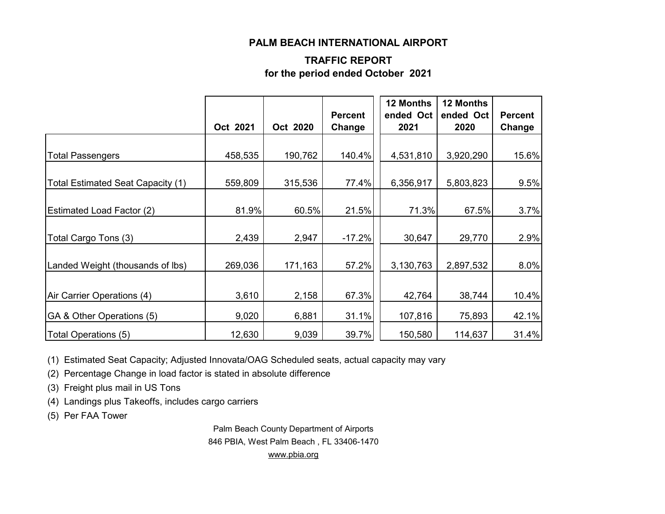#### **PALM BEACH INTERNATIONAL AIRPORT**

#### **TRAFFIC REPORT for the period ended October 2021**

|                                   | Oct 2021 | Oct 2020 | <b>Percent</b><br>Change | 12 Months<br>ended Oct<br>2021 | 12 Months<br>ended Oct<br>2020 | <b>Percent</b><br>Change |
|-----------------------------------|----------|----------|--------------------------|--------------------------------|--------------------------------|--------------------------|
|                                   |          |          |                          |                                |                                |                          |
| <b>Total Passengers</b>           | 458,535  | 190,762  | 140.4%                   | 4,531,810                      | 3,920,290                      | 15.6%                    |
| Total Estimated Seat Capacity (1) | 559,809  | 315,536  | 77.4%                    | 6,356,917                      | 5,803,823                      | 9.5%                     |
|                                   |          |          |                          |                                |                                |                          |
| <b>Estimated Load Factor (2)</b>  | 81.9%    | 60.5%    | 21.5%                    | 71.3%                          | 67.5%                          | 3.7%                     |
| Total Cargo Tons (3)              | 2,439    | 2,947    | $-17.2%$                 | 30,647                         | 29,770                         | 2.9%                     |
| Landed Weight (thousands of lbs)  | 269,036  | 171,163  | 57.2%                    | 3,130,763                      | 2,897,532                      | 8.0%                     |
|                                   |          |          |                          |                                |                                |                          |
| Air Carrier Operations (4)        | 3,610    | 2,158    | 67.3%                    | 42,764                         | 38,744                         | 10.4%                    |
| GA & Other Operations (5)         | 9,020    | 6,881    | 31.1%                    | 107,816                        | 75,893                         | 42.1%                    |
| Total Operations (5)              | 12,630   | 9,039    | 39.7%                    | 150,580                        | 114,637                        | 31.4%                    |

(1) Estimated Seat Capacity; Adjusted Innovata/OAG Scheduled seats, actual capacity may vary

(2) Percentage Change in load factor is stated in absolute difference

(3) Freight plus mail in US Tons

(4) Landings plus Takeoffs, includes cargo carriers

(5) Per FAA Tower

Palm Beach County Department of Airports 846 PBIA, West Palm Beach , FL 33406-1470 [www.pbia.org](http://www.pbia.org/)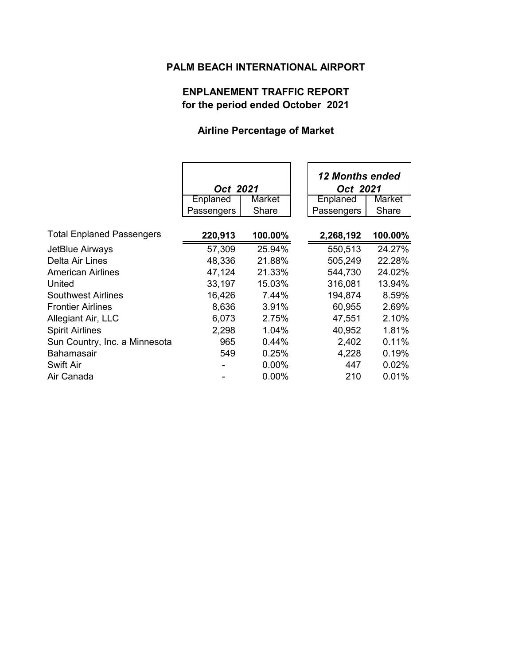## **PALM BEACH INTERNATIONAL AIRPORT**

### **ENPLANEMENT TRAFFIC REPORT for the period ended October 2021**

#### **Airline Percentage of Market**

|                                  | Oct 2021   |          | 12 Months ended<br>Oct 2021 |          |
|----------------------------------|------------|----------|-----------------------------|----------|
|                                  | Enplaned   | Market   | Enplaned                    | Market   |
|                                  | Passengers | Share    | Passengers                  | Share    |
|                                  |            |          |                             |          |
| <b>Total Enplaned Passengers</b> | 220,913    | 100.00%  | 2,268,192                   | 100.00%  |
| JetBlue Airways                  | 57,309     | 25.94%   | 550,513                     | 24.27%   |
| Delta Air Lines                  | 48,336     | 21.88%   | 505,249                     | 22.28%   |
| <b>American Airlines</b>         | 47,124     | 21.33%   | 544,730                     | 24.02%   |
| United                           | 33,197     | 15.03%   | 316,081                     | 13.94%   |
| <b>Southwest Airlines</b>        | 16,426     | 7.44%    | 194,874                     | 8.59%    |
| <b>Frontier Airlines</b>         | 8,636      | 3.91%    | 60,955                      | 2.69%    |
| Allegiant Air, LLC               | 6,073      | 2.75%    | 47,551                      | 2.10%    |
| <b>Spirit Airlines</b>           | 2,298      | 1.04%    | 40,952                      | 1.81%    |
| Sun Country, Inc. a Minnesota    | 965        | 0.44%    | 2,402                       | 0.11%    |
| <b>Bahamasair</b>                | 549        | 0.25%    | 4,228                       | 0.19%    |
| <b>Swift Air</b>                 |            | $0.00\%$ | 447                         | 0.02%    |
| Air Canada                       |            | $0.00\%$ | 210                         | $0.01\%$ |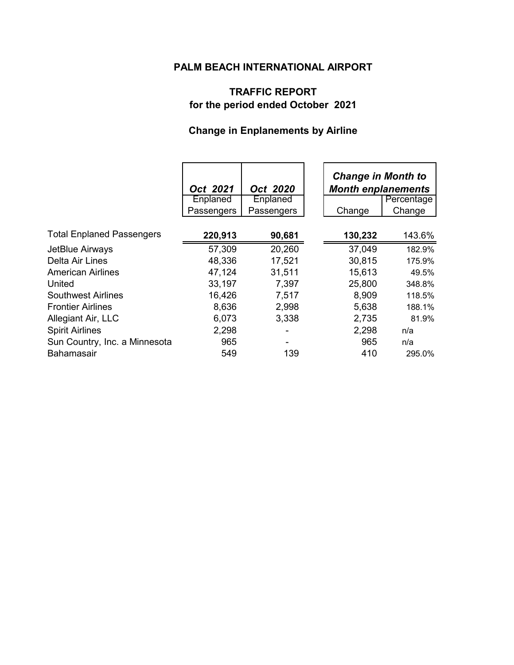## **PALM BEACH INTERNATIONAL AIRPORT**

### **TRAFFIC REPORT for the period ended October 2021**

# **Change in Enplanements by Airline**

|                                  | Oct 2021   | Oct 2020        |         | <b>Change in Month to</b><br><b>Month enplanements</b> |  |
|----------------------------------|------------|-----------------|---------|--------------------------------------------------------|--|
|                                  | Enplaned   | <b>Enplaned</b> |         | Percentage                                             |  |
|                                  | Passengers | Passengers      | Change  | Change                                                 |  |
| <b>Total Enplaned Passengers</b> | 220,913    | 90,681          | 130,232 | 143.6%                                                 |  |
| JetBlue Airways                  | 57,309     | 20,260          | 37,049  | 182.9%                                                 |  |
| Delta Air Lines                  | 48,336     | 17,521          | 30,815  | 175.9%                                                 |  |
| <b>American Airlines</b>         | 47,124     | 31,511          | 15,613  | 49.5%                                                  |  |
| United                           | 33,197     | 7,397           | 25,800  | 348.8%                                                 |  |
| <b>Southwest Airlines</b>        | 16,426     | 7,517           | 8,909   | 118.5%                                                 |  |
| <b>Frontier Airlines</b>         | 8,636      | 2,998           | 5,638   | 188.1%                                                 |  |
| Allegiant Air, LLC               | 6,073      | 3,338           | 2,735   | 81.9%                                                  |  |
| <b>Spirit Airlines</b>           | 2,298      |                 | 2,298   | n/a                                                    |  |
| Sun Country, Inc. a Minnesota    | 965        |                 | 965     | n/a                                                    |  |
| <b>Bahamasair</b>                | 549        | 139             | 410     | 295.0%                                                 |  |